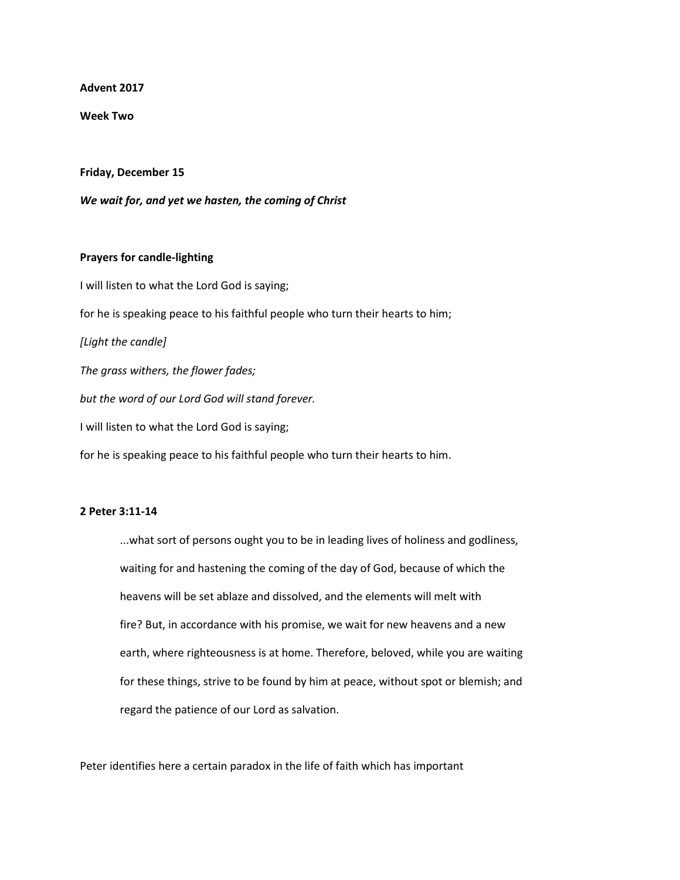**Advent 2017**

**Week Two**

**Friday, December 15**

*We wait for, and yet we hasten, the coming of Christ*

## **Prayers for candle-lighting**

I will listen to what the Lord God is saying; for he is speaking peace to his faithful people who turn their hearts to him; *[Light the candle] The grass withers, the flower fades; but the word of our Lord God will stand forever.* I will listen to what the Lord God is saying; for he is speaking peace to his faithful people who turn their hearts to him.

## **2 Peter 3:11-14**

...what sort of persons ought you to be in leading lives of holiness and godliness, waiting for and hastening the coming of the day of God, because of which the heavens will be set ablaze and dissolved, and the elements will melt with fire? But, in accordance with his promise, we wait for new heavens and a new earth, where righteousness is at home. Therefore, beloved, while you are waiting for these things, strive to be found by him at peace, without spot or blemish; and regard the patience of our Lord as salvation.

Peter identifies here a certain paradox in the life of faith which has important